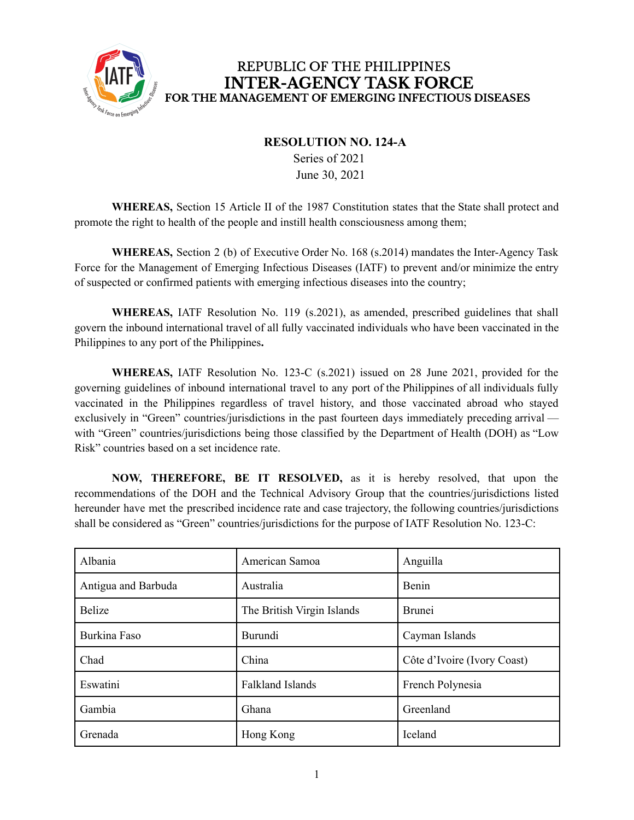

## REPUBLIC OF THE PHILIPPINES **INTER-AGENCY TASK FORCE** FOR THE MANAGEMENT OF EMERGING INFECTIOUS DISEASES

## **RESOLUTION NO. 124-A**

Series of 2021 June 30, 2021

**WHEREAS,** Section 15 Article II of the 1987 Constitution states that the State shall protect and promote the right to health of the people and instill health consciousness among them;

**WHEREAS,** Section 2 (b) of Executive Order No. 168 (s.2014) mandates the Inter-Agency Task Force for the Management of Emerging Infectious Diseases (IATF) to prevent and/or minimize the entry of suspected or confirmed patients with emerging infectious diseases into the country;

**WHEREAS,** IATF Resolution No. 119 (s.2021), as amended, prescribed guidelines that shall govern the inbound international travel of all fully vaccinated individuals who have been vaccinated in the Philippines to any port of the Philippines**.**

**WHEREAS,** IATF Resolution No. 123-C (s.2021) issued on 28 June 2021, provided for the governing guidelines of inbound international travel to any port of the Philippines of all individuals fully vaccinated in the Philippines regardless of travel history, and those vaccinated abroad who stayed exclusively in "Green" countries/jurisdictions in the past fourteen days immediately preceding arrival with "Green" countries/jurisdictions being those classified by the Department of Health (DOH) as "Low Risk" countries based on a set incidence rate.

**NOW, THEREFORE, BE IT RESOLVED,** as it is hereby resolved, that upon the recommendations of the DOH and the Technical Advisory Group that the countries/jurisdictions listed hereunder have met the prescribed incidence rate and case trajectory, the following countries/jurisdictions shall be considered as "Green" countries/jurisdictions for the purpose of IATF Resolution No. 123-C:

| Albania             | American Samoa             | Anguilla                    |
|---------------------|----------------------------|-----------------------------|
| Antigua and Barbuda | Australia                  | Benin                       |
| <b>Belize</b>       | The British Virgin Islands | <b>Brunei</b>               |
| Burkina Faso        | Burundi                    | Cayman Islands              |
| Chad                | China                      | Côte d'Ivoire (Ivory Coast) |
| Eswatini            | <b>Falkland Islands</b>    | French Polynesia            |
| Gambia              | Ghana                      | Greenland                   |
| Grenada             | Hong Kong                  | Iceland                     |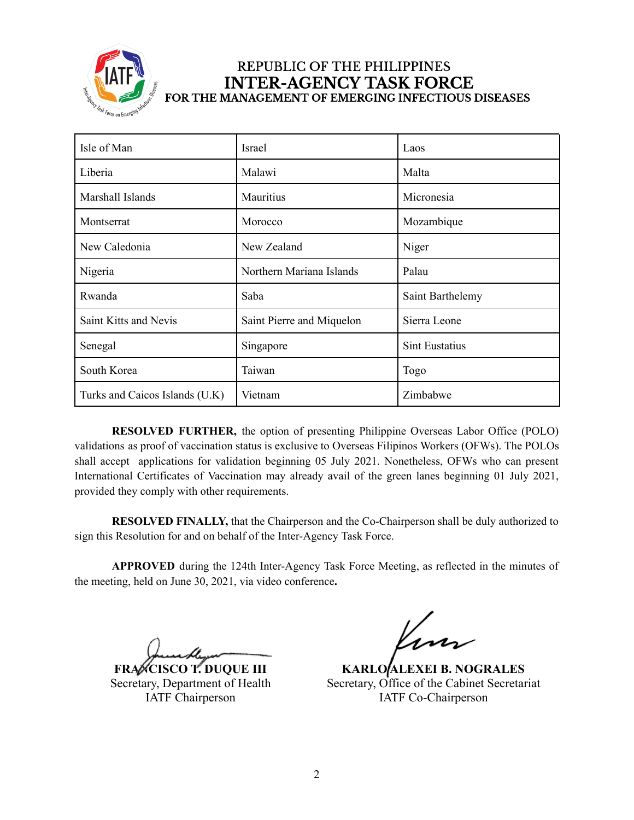

## REPUBLIC OF THE PHILIPPINES **INTER-AGENCY TASK FORCE** FOR THE MANAGEMENT OF EMERGING INFECTIOUS DISEASES

| Isle of Man                    | Israel                    | Laos                  |
|--------------------------------|---------------------------|-----------------------|
| Liberia                        | Malawi                    | Malta                 |
| Marshall Islands               | Mauritius                 | Micronesia            |
| Montserrat                     | Morocco                   | Mozambique            |
| New Caledonia                  | New Zealand               | Niger                 |
| Nigeria                        | Northern Mariana Islands  | Palau                 |
| Rwanda                         | Saba                      | Saint Barthelemy      |
| Saint Kitts and Nevis          | Saint Pierre and Miquelon | Sierra Leone          |
| Senegal                        | Singapore                 | <b>Sint Eustatius</b> |
| South Korea                    | Taiwan                    | Togo                  |
| Turks and Caicos Islands (U.K) | Vietnam                   | Zimbabwe              |

**RESOLVED FURTHER,** the option of presenting Philippine Overseas Labor Office (POLO) validations as proof of vaccination status is exclusive to Overseas Filipinos Workers (OFWs). The POLOs shall accept applications for validation beginning 05 July 2021. Nonetheless, OFWs who can present International Certificates of Vaccination may already avail of the green lanes beginning 01 July 2021, provided they comply with other requirements.

**RESOLVED FINALLY,** that the Chairperson and the Co-Chairperson shall be duly authorized to sign this Resolution for and on behalf of the Inter-Agency Task Force.

**APPROVED** during the 124th Inter-Agency Task Force Meeting, as reflected in the minutes of the meeting, held on June 30, 2021, via video conference**.**

**FRANCISCO T. DUQUE III** Secretary, Department of Health IATF Chairperson

**KARLO ALEXEI B. NOGRALES** Secretary, Office of the Cabinet Secretariat IATF Co-Chairperson